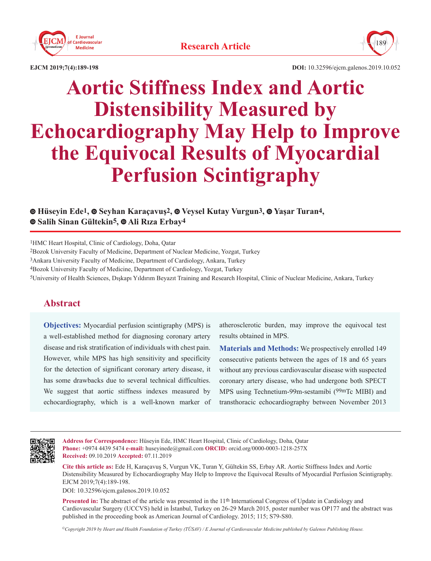



**EJCM 2019;7(4):189-198 DOI:** 10.32596/ejcm.galenos.2019.10.052

# **Aortic Stiffness Index and Aortic Distensibility Measured by Echocardiography May Help to Improve the Equivocal Results of Myocardial Perfusion Scintigraphy**

## **Hüseyin Ede1, Seyhan Karaçavuş2,Veysel Kutay Vurgun3, Yaşar Turan4, Salih Sinan Gültekin5, Ali Rıza Erbay4**

1HMC Heart Hospital, Clinic of Cardiology, Doha, Qatar

2Bozok University Faculty of Medicine, Department of Nuclear Medicine, Yozgat, Turkey

3Ankara University Faculty of Medicine, Department of Cardiology, Ankara, Turkey

4Bozok University Faculty of Medicine, Department of Cardiology, Yozgat, Turkey

5University of Health Sciences, Dışkapı Yıldırım Beyazıt Training and Research Hospital, Clinic of Nuclear Medicine, Ankara, Turkey

# **Abstract**

**Objectives:** Myocardial perfusion scintigraphy (MPS) is a well-established method for diagnosing coronary artery disease and risk stratification of individuals with chest pain. However, while MPS has high sensitivity and specificity for the detection of significant coronary artery disease, it has some drawbacks due to several technical difficulties. We suggest that aortic stiffness indexes measured by echocardiography, which is a well-known marker of atherosclerotic burden, may improve the equivocal test results obtained in MPS.

**Materials and Methods:** We prospectively enrolled 149 consecutive patients between the ages of 18 and 65 years without any previous cardiovascular disease with suspected coronary artery disease, who had undergone both SPECT MPS using Technetium-99m-sestamibi (99mTc MIBI) and transthoracic echocardiography between November 2013



**Address for Correspondence:** Hüseyin Ede, HMC Heart Hospital, Clinic of Cardiology, Doha, Qatar **Phone:** +0974 4439 5474 **e-mail:** huseyinede@gmail.com **ORCID:** orcid.org/0000-0003-1218-257X **Received:** 09.10.2019 **Accepted:** 07.11.2019

**Cite this article as:** Ede H, Karaçavuş S, Vurgun VK, Turan Y, Gültekin SS, Erbay AR. Aortic Stiffness Index and Aortic Distensibility Measured by Echocardiography May Help to Improve the Equivocal Results of Myocardial Perfusion Scintigraphy. EJCM 2019;7(4):189-198.

DOI: 10.32596/ejcm.galenos.2019.10.052

**Presented in:** The abstract of the article was presented in the 11<sup>th</sup> International Congress of Update in Cardiology and Cardiovascular Surgery (UCCVS) held in İstanbul, Turkey on 26-29 March 2015, poster number was OP177 and the abstract was published in the proceeding book as American Journal of Cardiology. 2015; 115; S79-S80.

*©Copyright 2019 by Heart and Health Foundation of Turkey (TÜSAV) / E Journal of Cardiovascular Medicine published by Galenos Publishing House.*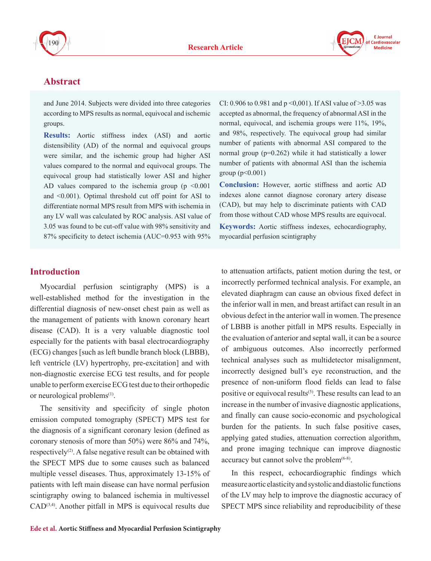



# **Abstract**

and June 2014. Subjects were divided into three categories according to MPS results as normal, equivocal and ischemic groups.

**Results:** Aortic stiffness index (ASI) and aortic distensibility (AD) of the normal and equivocal groups were similar, and the ischemic group had higher ASI values compared to the normal and equivocal groups. The equivocal group had statistically lower ASI and higher AD values compared to the ischemia group ( $p \le 0.001$ ) and <0.001). Optimal threshold cut off point for ASI to differentiate normal MPS result from MPS with ischemia in any LV wall was calculated by ROC analysis. ASI value of 3.05 was found to be cut-off value with 98% sensitivity and 87% specificity to detect ischemia (AUC=0.953 with 95%

CI: 0.906 to 0.981 and p <0,001). If ASI value of >3.05 was accepted as abnormal, the frequency of abnormal ASI in the normal, equivocal, and ischemia groups were 11%, 19%, and 98%, respectively. The equivocal group had similar number of patients with abnormal ASI compared to the normal group (p=0.262) while it had statistically a lower number of patients with abnormal ASI than the ischemia group  $(p<0.001)$ 

**Conclusion:** However, aortic stiffness and aortic AD indexes alone cannot diagnose coronary artery disease (CAD), but may help to discriminate patients with CAD from those without CAD whose MPS results are equivocal. **Keywords:** Aortic stiffness indexes, echocardiography, myocardial perfusion scintigraphy

## **Introduction**

Myocardial perfusion scintigraphy (MPS) is a well-established method for the investigation in the differential diagnosis of new-onset chest pain as well as the management of patients with known coronary heart disease (CAD). It is a very valuable diagnostic tool especially for the patients with basal electrocardiography (ECG) changes [such as left bundle branch block (LBBB), left ventricle (LV) hypertrophy, pre-excitation] and with non-diagnostic exercise ECG test results, and for people unable to perform exercise ECG test due to their orthopedic or neurological problems<sup>(1)</sup>.

The sensitivity and specificity of single photon emission computed tomography (SPECT) MPS test for the diagnosis of a significant coronary lesion (defined as coronary stenosis of more than 50%) were 86% and 74%, respectively<sup>(2)</sup>. A false negative result can be obtained with the SPECT MPS due to some causes such as balanced multiple vessel diseases. Thus, approximately 13-15% of patients with left main disease can have normal perfusion scintigraphy owing to balanced ischemia in multivessel  $CAD<sup>(3,4)</sup>$ . Another pitfall in MPS is equivocal results due

to attenuation artifacts, patient motion during the test, or incorrectly performed technical analysis. For example, an elevated diaphragm can cause an obvious fixed defect in the inferior wall in men, and breast artifact can result in an obvious defect in the anterior wall in women. The presence of LBBB is another pitfall in MPS results. Especially in the evaluation of anterior and septal wall, it can be a source of ambiguous outcomes. Also incorrectly performed technical analyses such as multidetector misalignment, incorrectly designed bull's eye reconstruction, and the presence of non-uniform flood fields can lead to false positive or equivocal results<sup>(5)</sup>. These results can lead to an increase in the number of invasive diagnostic applications, and finally can cause socio-economic and psychological burden for the patients. In such false positive cases, applying gated studies, attenuation correction algorithm, and prone imaging technique can improve diagnostic accuracy but cannot solve the problem $(6-8)$ .

In this respect, echocardiographic findings which measure aortic elasticity and systolic and diastolic functions of the LV may help to improve the diagnostic accuracy of SPECT MPS since reliability and reproducibility of these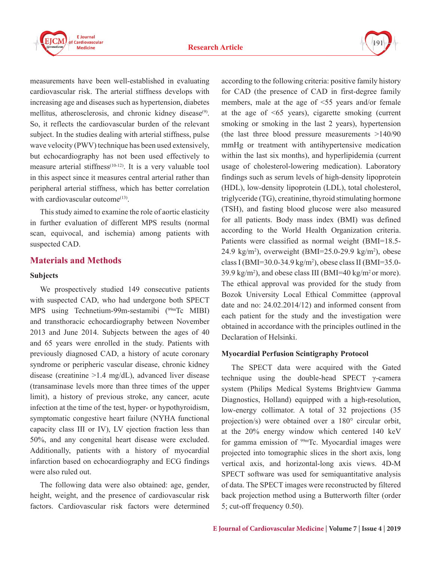



measurements have been well-established in evaluating cardiovascular risk. The arterial stiffness develops with increasing age and diseases such as hypertension, diabetes mellitus, atherosclerosis, and chronic kidney disease<sup>(9)</sup>. So, it reflects the cardiovascular burden of the relevant subject. In the studies dealing with arterial stiffness, pulse wave velocity (PWV) technique has been used extensively, but echocardiography has not been used effectively to measure arterial stiffness<sup> $(10-12)$ </sup>. It is a very valuable tool in this aspect since it measures central arterial rather than peripheral arterial stiffness, which has better correlation with cardiovascular outcome $^{(13)}$ .

This study aimed to examine the role of aortic elasticity in further evaluation of different MPS results (normal scan, equivocal, and ischemia) among patients with suspected CAD.

## **Materials and Methods**

#### **Subjects**

We prospectively studied 149 consecutive patients with suspected CAD, who had undergone both SPECT MPS using Technetium-99m-sestamibi (<sup>99m</sup>Tc MIBI) and transthoracic echocardiography between November 2013 and June 2014. Subjects between the ages of 40 and 65 years were enrolled in the study. Patients with previously diagnosed CAD, a history of acute coronary syndrome or peripheric vascular disease, chronic kidney disease (creatinine >1.4 mg/dL), advanced liver disease (transaminase levels more than three times of the upper limit), a history of previous stroke, any cancer, acute infection at the time of the test, hyper- or hypothyroidism, symptomatic congestive heart failure (NYHA functional capacity class III or IV), LV ejection fraction less than 50%, and any congenital heart disease were excluded. Additionally, patients with a history of myocardial infarction based on echocardiography and ECG findings were also ruled out.

The following data were also obtained: age, gender, height, weight, and the presence of cardiovascular risk factors. Cardiovascular risk factors were determined according to the following criteria: positive family history for CAD (the presence of CAD in first-degree family members, male at the age of <55 years and/or female at the age of  $\leq 65$  years), cigarette smoking (current smoking or smoking in the last 2 years), hypertension (the last three blood pressure measurements >140/90 mmHg or treatment with antihypertensive medication within the last six months), and hyperlipidemia (current usage of cholesterol-lowering medication). Laboratory findings such as serum levels of high-density lipoprotein (HDL), low-density lipoprotein (LDL), total cholesterol, triglyceride (TG), creatinine, thyroid stimulating hormone (TSH), and fasting blood glucose were also measured for all patients. Body mass index (BMI) was defined according to the World Health Organization criteria. Patients were classified as normal weight (BMI=18.5- 24.9 kg/m<sup>2</sup>), overweight (BMI=25.0-29.9 kg/m<sup>2</sup>), obese class I (BMI=30.0-34.9 kg/m<sup>2</sup> ), obese class II (BMI=35.0- 39.9 kg/m<sup>2</sup>), and obese class III (BMI=40 kg/m<sup>2</sup> or more). The ethical approval was provided for the study from Bozok University Local Ethical Committee (approval date and no: 24.02.2014/12) and informed consent from each patient for the study and the investigation were obtained in accordance with the principles outlined in the Declaration of Helsinki.

#### **Myocardial Perfusion Scintigraphy Protocol**

The SPECT data were acquired with the Gated technique using the double-head SPECT γ-camera system (Philips Medical Systems Brightview Gamma Diagnostics, Holland) equipped with a high-resolution, low-energy collimator. A total of 32 projections (35 projection/s) were obtained over a 180° circular orbit, at the 20% energy window which centered 140 keV for gamma emission of 99mTc. Myocardial images were projected into tomographic slices in the short axis, long vertical axis, and horizontal-long axis views. 4D-M SPECT software was used for semiquantitative analysis of data. The SPECT images were reconstructed by filtered back projection method using a Butterworth filter (order 5; cut-off frequency 0.50).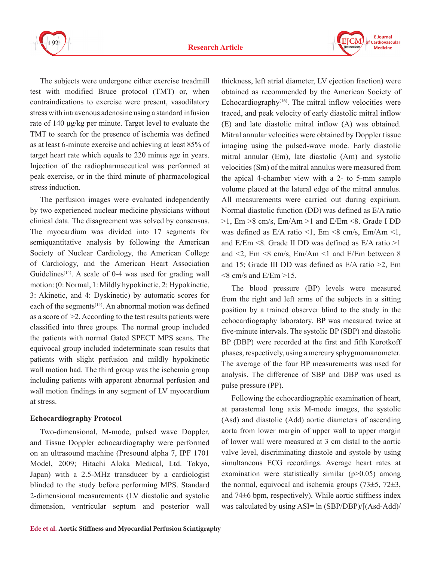



The subjects were undergone either exercise treadmill test with modified Bruce protocol (TMT) or, when contraindications to exercise were present, vasodilatory stress with intravenous adenosine using a standard infusion rate of 140 μg/kg per minute. Target level to evaluate the TMT to search for the presence of ischemia was defined as at least 6-minute exercise and achieving at least 85% of target heart rate which equals to 220 minus age in years. Injection of the radiopharmaceutical was performed at peak exercise, or in the third minute of pharmacological stress induction.

The perfusion images were evaluated independently by two experienced nuclear medicine physicians without clinical data. The disagreement was solved by consensus. The myocardium was divided into 17 segments for semiquantitative analysis by following the American Society of Nuclear Cardiology, the American College of Cardiology, and the American Heart Association Guidelines<sup> $(14)$ </sup>. A scale of 0-4 was used for grading wall motion: (0: Normal, 1: Mildly hypokinetic, 2: Hypokinetic, 3: Akinetic, and 4: Dyskinetic) by automatic scores for each of the segments<sup>(15)</sup>. An abnormal motion was defined as a score of >2. According to the test results patients were classified into three groups. The normal group included the patients with normal Gated SPECT MPS scans. The equivocal group included indeterminate scan results that patients with slight perfusion and mildly hypokinetic wall motion had. The third group was the ischemia group including patients with apparent abnormal perfusion and wall motion findings in any segment of LV myocardium at stress.

#### **Echocardiography Protocol**

Two-dimensional, M-mode, pulsed wave Doppler, and Tissue Doppler echocardiography were performed on an ultrasound machine (Presound alpha 7, IPF 1701 Model, 2009; Hitachi Aloka Medical, Ltd. Tokyo, Japan) with a 2.5-MHz transducer by a cardiologist blinded to the study before performing MPS. Standard 2-dimensional measurements (LV diastolic and systolic dimension, ventricular septum and posterior wall thickness, left atrial diameter, LV ejection fraction) were obtained as recommended by the American Society of Echocardiography $(16)$ . The mitral inflow velocities were traced, and peak velocity of early diastolic mitral inflow (E) and late diastolic mitral inflow (A) was obtained. Mitral annular velocities were obtained by Doppler tissue imaging using the pulsed-wave mode. Early diastolic mitral annular (Em), late diastolic (Am) and systolic velocities (Sm) of the mitral annulus were measured from the apical 4-chamber view with a 2- to 5-mm sample volume placed at the lateral edge of the mitral annulus. All measurements were carried out during expirium. Normal diastolic function (DD) was defined as E/A ratio  $>1$ , Em  $>8$  cm/s, Em/Am  $>1$  and E/Em  $<8$ . Grade I DD was defined as  $E/A$  ratio <1, Em <8 cm/s, Em/Am <1, and E/Em <8. Grade II DD was defined as E/A ratio >1 and  $\leq$ 2, Em  $\leq$ 8 cm/s, Em/Am  $\leq$ 1 and E/Em between 8 and 15; Grade III DD was defined as E/A ratio >2, Em  $\leq$ 8 cm/s and E/Em  $>$ 15.

The blood pressure (BP) levels were measured from the right and left arms of the subjects in a sitting position by a trained observer blind to the study in the echocardiography laboratory. BP was measured twice at five-minute intervals. The systolic BP (SBP) and diastolic BP (DBP) were recorded at the first and fifth Korotkoff phases, respectively, using a mercury sphygmomanometer. The average of the four BP measurements was used for analysis. The difference of SBP and DBP was used as pulse pressure (PP).

Following the echocardiographic examination of heart, at parasternal long axis M-mode images, the systolic (Asd) and diastolic (Add) aortic diameters of ascending aorta from lower margin of upper wall to upper margin of lower wall were measured at 3 cm distal to the aortic valve level, discriminating diastole and systole by using simultaneous ECG recordings. Average heart rates at examination were statistically similar  $(p>0.05)$  among the normal, equivocal and ischemia groups  $(73\pm5, 72\pm3, 72\pm5)$ and 74±6 bpm, respectively). While aortic stiffness index was calculated by using ASI= ln (SBP/DBP)/[(Asd-Add)/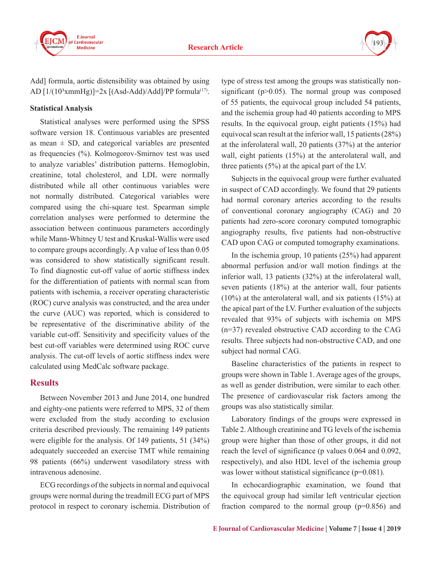

193

Add] formula, aortic distensibility was obtained by using AD  $[1/(10^3xmmHg)]=2x$   $[(Asd-Add)/Add]/PP$  formula<sup>(17)</sup>.

#### **Statistical Analysis**

Statistical analyses were performed using the SPSS software version 18. Continuous variables are presented as mean  $\pm$  SD, and categorical variables are presented as frequencies (%). Kolmogorov-Smirnov test was used to analyze variables' distribution patterns. Hemoglobin, creatinine, total cholesterol, and LDL were normally distributed while all other continuous variables were not normally distributed. Categorical variables were compared using the chi-square test. Spearman simple correlation analyses were performed to determine the association between continuous parameters accordingly while Mann-Whitney U test and Kruskal-Wallis were used to compare groups accordingly. A p value of less than 0.05 was considered to show statistically significant result. To find diagnostic cut-off value of aortic stiffness index for the differentiation of patients with normal scan from patients with ischemia, a receiver operating characteristic (ROC) curve analysis was constructed, and the area under the curve (AUC) was reported, which is considered to be representative of the discriminative ability of the variable cut-off. Sensitivity and specificity values of the best cut-off variables were determined using ROC curve analysis. The cut-off levels of aortic stiffness index were calculated using MedCalc software package.

#### **Results**

Between November 2013 and June 2014, one hundred and eighty-one patients were referred to MPS, 32 of them were excluded from the study according to exclusion criteria described previously. The remaining 149 patients were eligible for the analysis. Of 149 patients, 51 (34%) adequately succeeded an exercise TMT while remaining 98 patients (66%) underwent vasodilatory stress with intravenous adenosine.

ECG recordings of the subjects in normal and equivocal groups were normal during the treadmill ECG part of MPS protocol in respect to coronary ischemia. Distribution of type of stress test among the groups was statistically nonsignificant ( $p > 0.05$ ). The normal group was composed of 55 patients, the equivocal group included 54 patients, and the ischemia group had 40 patients according to MPS results. In the equivocal group, eight patients (15%) had equivocal scan result at the inferior wall, 15 patients (28%) at the inferolateral wall, 20 patients (37%) at the anterior wall, eight patients (15%) at the anterolateral wall, and three patients (5%) at the apical part of the LV.

Subjects in the equivocal group were further evaluated in suspect of CAD accordingly. We found that 29 patients had normal coronary arteries according to the results of conventional coronary angiography (CAG) and 20 patients had zero-score coronary computed tomographic angiography results, five patients had non-obstructive CAD upon CAG or computed tomography examinations.

In the ischemia group, 10 patients (25%) had apparent abnormal perfusion and/or wall motion findings at the inferior wall, 13 patients (32%) at the inferolateral wall, seven patients (18%) at the anterior wall, four patients (10%) at the anterolateral wall, and six patients (15%) at the apical part of the LV. Further evaluation of the subjects revealed that 93% of subjects with ischemia on MPS (n=37) revealed obstructive CAD according to the CAG results. Three subjects had non-obstructive CAD, and one subject had normal CAG.

Baseline characteristics of the patients in respect to groups were shown in Table 1. Average ages of the groups, as well as gender distribution, were similar to each other. The presence of cardiovascular risk factors among the groups was also statistically similar.

Laboratory findings of the groups were expressed in Table 2. Although creatinine and TG levels of the ischemia group were higher than those of other groups, it did not reach the level of significance (p values 0.064 and 0.092, respectively), and also HDL level of the ischemia group was lower without statistical significance ( $p=0.081$ ).

In echocardiographic examination, we found that the equivocal group had similar left ventricular ejection fraction compared to the normal group  $(p=0.856)$  and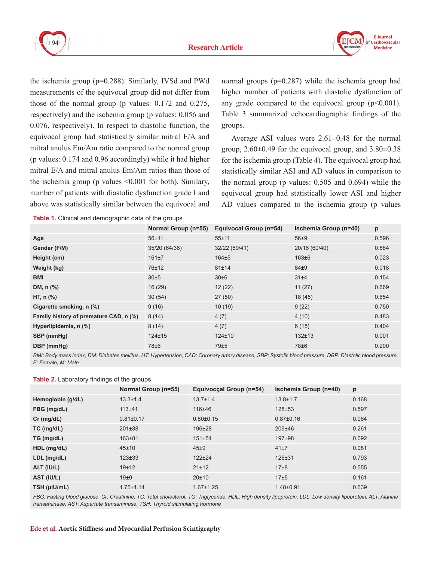



the ischemia group (p=0.288). Similarly, IVSd and PWd measurements of the equivocal group did not differ from those of the normal group (p values: 0.172 and 0.275, respectively) and the ischemia group (p values: 0.056 and 0.076, respectively). In respect to diastolic function, the equivocal group had statistically similar mitral E/A and mitral anulus Em/Am ratio compared to the normal group (p values: 0.174 and 0.96 accordingly) while it had higher mitral E/A and mitral anulus Em/Am ratios than those of the ischemia group (p values <0.001 for both). Similary, number of patients with diastolic dysfunction grade I and above was statistically similar between the equivocal and

**Table 1.** Clinical and demographic data of the groups

normal groups (p=0.287) while the ischemia group had higher number of patients with diastolic dysfunction of any grade compared to the equivocal group  $(p<0.001)$ . Table 3 summarized echocardiographic findings of the groups.

Average ASI values were  $2.61 \pm 0.48$  for the normal group,  $2.60\pm0.49$  for the equivocal group, and  $3.80\pm0.38$ for the ischemia group (Table 4). The equivocal group had statistically similar ASI and AD values in comparison to the normal group (p values: 0.505 and 0.694) while the equivocal group had statistically lower ASI and higher AD values compared to the ischemia group (p values

|                                        | Normal Group (n=55) | Equivocal Group (n=54) | Ischemia Group (n=40) | p     |
|----------------------------------------|---------------------|------------------------|-----------------------|-------|
| Age                                    | $56 + 11$           | $55 + 11$              | $56\pm9$              | 0.596 |
| Gender (F/M)                           | 35/20 (64/36)       | 32/22 (59/41)          | 20/16 (60/40)         | 0.884 |
| Height (cm)                            | 161±7               | $164\pm5$              | $163\pm 6$            | 0.023 |
| Weight (kg)                            | 76±12               | 81±14                  | $84\pm9$              | 0.018 |
| <b>BMI</b>                             | 30±5                | 30±6                   | 31±4                  | 0.154 |
| DM, n (%)                              | 16(29)              | 12(22)                 | 11(27)                | 0.669 |
| HT, $n$ $%$                            | 30(54)              | 27(50)                 | 18(45)                | 0.654 |
| Cigarette smoking, n (%)               | 9(16)               | 10(19)                 | 9(22)                 | 0.750 |
| Family history of premature CAD, n (%) | 8(14)               | 4(7)                   | 4(10)                 | 0.483 |
| Hyperlipidemia, n (%)                  | 8(14)               | 4(7)                   | 6(15)                 | 0.404 |
| SBP (mmHg)                             | $124 \pm 15$        | $124 \pm 10$           | $132 \pm 13$          | 0.001 |
| DBP (mmHg)                             | 78±6                | 79±5                   | 78 <sup>+6</sup>      | 0.200 |

BMI: Body mass index, DM: Diabetes mellitus, HT: Hypertension, CAD: Coronary artery disease, SBP: Systolic blood pressure, DBP: Diastolic blood pressure, *F: Female, M: Male*

#### **Table 2.** Laboratory findings of the groups

|                   | Normal Group (n=55) | Equivocçal Group (n=54) | <b>Ischemia Group (n=40)</b> | p     |
|-------------------|---------------------|-------------------------|------------------------------|-------|
| Hemoglobin (g/dL) | $13.3 \pm 1.4$      | $13.7 \pm 1.4$          | $13.8 \pm 1.7$               | 0.168 |
| FBG (mg/dL)       | $113+41$            | $116 + 46$              | $128 + 53$                   | 0.597 |
| $Cr$ (mg/dL)      | $0.81 \pm 0.17$     | $0.80 + 0.15$           | $0.87 \pm 0.16$              | 0.064 |
| $TC$ (mg/dL)      | $201 \pm 38$        | 196±28                  | 209±46                       | 0.261 |
| TG (mg/dL)        | $163 + 81$          | 151±54                  | $197+98$                     | 0.092 |
| HDL (mg/dL)       | 45±10               | 45±9                    | 41±7                         | 0.081 |
| LDL (mg/dL)       | $123 \pm 33$        | $122 + 24$              | $126 + 31$                   | 0.793 |
| ALT (IU/L)        | 19±12               | 21±12                   | $17\pm8$                     | 0.555 |
| AST (IU/L)        | 19 <sub>±9</sub>    | 20±10                   | 17±5                         | 0.161 |
| TSH (µIU/mL)      | $1.75 \pm 1.14$     | $1.67 \pm 1.25$         | $1.48 + 0.91$                | 0.639 |

FBG: Fasting blood glucose, Cr: Creatinine, TC: Total cholesterol, TG: Triglyceride, HDL: High density lipoprotein, LDL: Low density lipoprotein, ALT: Alanine *transaminase, AST: Aspartate transaminase, TSH: Thyroid sitimulating hormone*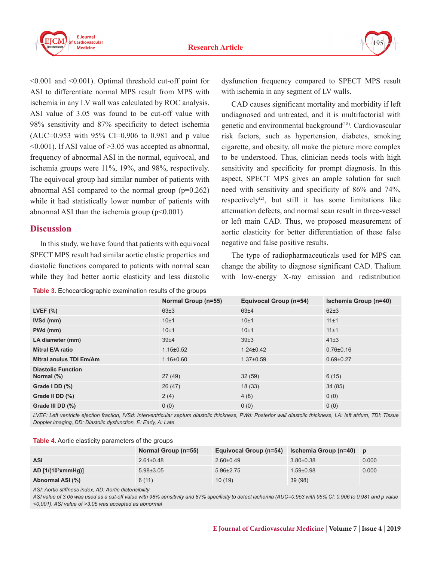



 $\leq 0.001$  and  $\leq 0.001$ ). Optimal threshold cut-off point for ASI to differentiate normal MPS result from MPS with ischemia in any LV wall was calculated by ROC analysis. ASI value of 3.05 was found to be cut-off value with 98% sensitivity and 87% specificity to detect ischemia (AUC=0.953 with 95% CI=0.906 to 0.981 and p value <0.001). If ASI value of >3.05 was accepted as abnormal, frequency of abnormal ASI in the normal, equivocal, and ischemia groups were 11%, 19%, and 98%, respectively. The equivocal group had similar number of patients with abnormal ASI compared to the normal group  $(p=0.262)$ while it had statistically lower number of patients with abnormal ASI than the ischemia group  $(p<0.001)$ 

## **Discussion**

In this study, we have found that patients with equivocal SPECT MPS result had similar aortic elastic properties and diastolic functions compared to patients with normal scan while they had better aortic elasticity and less diastolic

**Table 3.** Echocardiographic examination results of the groups

dysfunction frequency compared to SPECT MPS result with ischemia in any segment of LV walls.

CAD causes significant mortality and morbidity if left undiagnosed and untreated, and it is multifactorial with genetic and environmental background<sup>(18)</sup>. Cardiovascular risk factors, such as hypertension, diabetes, smoking cigarette, and obesity, all make the picture more complex to be understood. Thus, clinician needs tools with high sensitivity and specificity for prompt diagnosis. In this aspect, SPECT MPS gives an ample solution for such need with sensitivity and specificity of 86% and 74%, respectively<sup>(2)</sup>, but still it has some limitations like attenuation defects, and normal scan result in three-vessel or left main CAD. Thus, we proposed measurement of aortic elasticity for better differentiation of these false negative and false positive results.

The type of radiopharmaceuticals used for MPS can change the ability to diagnose significant CAD. Thalium with low-energy X-ray emission and redistribution

|                                            | Normal Group (n=55) | Equivocal Group (n=54) | <b>Ischemia Group (n=40)</b> |
|--------------------------------------------|---------------------|------------------------|------------------------------|
| LVEF $(\%)$                                | $63\pm3$            | 63±4                   | $62\pm3$                     |
| IVSd (mm)                                  | 10±1                | 10±1                   | 11±1                         |
| PWd (mm)                                   | 10±1                | 10±1                   | 11±1                         |
| LA diameter (mm)                           | 39 <sub>±4</sub>    | 39±3                   | $41\pm3$                     |
| Mitral E/A ratio                           | $1.15 \pm 0.52$     | $1.24 \pm 0.42$        | $0.76 \pm 0.16$              |
| <b>Mitral anulus TDI Em/Am</b>             | $1.16 \pm 0.60$     | $1.37 \pm 0.59$        | $0.69 + 0.27$                |
| <b>Diastolic Function</b><br>Normal $(\%)$ | 27(49)              | 32(59)                 | 6(15)                        |
| Grade $IDD$ $(\%)$                         | 26(47)              | 18(33)                 | 34(85)                       |
| Grade II DD (%)                            | 2(4)                | 4(8)                   | 0(0)                         |
| Grade III DD (%)                           | 0(0)                | 0(0)                   | 0(0)                         |

*LVEF: Left ventricle ejection fraction, IVSd: Interventricular septum diastolic thickness, PWd: Posterior wall diastolic thickness, LA: left atrium, TDI: Tissue Doppler imaging, DD: Diastolic dysfunction, E: Early, A: Late*

| <b>Table 4.</b> Aortic elasticity parameters of the groups |  |  |
|------------------------------------------------------------|--|--|
|------------------------------------------------------------|--|--|

|                      | Normal Group (n=55) | Equivocal Group (n=54) | Ischemia Group (n=40) | D     |
|----------------------|---------------------|------------------------|-----------------------|-------|
| <b>ASI</b>           | $2.61 \pm 0.48$     | $2.60+0.49$            | $3.80\pm0.38$         | 0.000 |
| $AD [1/(10^3xmmHg)]$ | $5.98 \pm 3.05$     | $5.96\pm2.75$          | $1.59 + 0.98$         | 0.000 |
| Abnormal ASI (%)     | 6(11)               | 10 (19)                | 39(98)                |       |

*ASI: Aortic stiffness index, AD: Aortic distensibility*

*ASI value of 3.05 was used as a cut-off value with 98% sensitivity and 87% specificity to detect ischemia (AUC=0.953 with 95% CI: 0.906 to 0.981 and p value <0,001). ASI value of >3.05 was accepted as abnormal*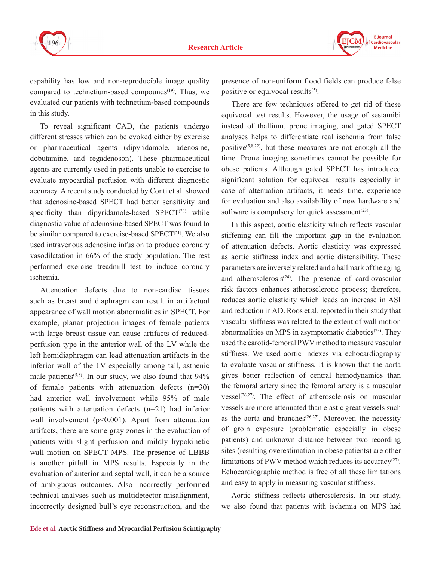

**F** Journal Cardiovascular **Medicine** 

capability has low and non-reproducible image quality compared to technetium-based compounds<sup>(19)</sup>. Thus, we evaluated our patients with technetium-based compounds in this study.

To reveal significant CAD, the patients undergo different stresses which can be evoked either by exercise or pharmaceutical agents (dipyridamole, adenosine, dobutamine, and regadenoson). These pharmaceutical agents are currently used in patients unable to exercise to evaluate myocardial perfusion with different diagnostic accuracy. A recent study conducted by Conti et al. showed that adenosine-based SPECT had better sensitivity and specificity than dipyridamole-based SPECT $(20)$  while diagnostic value of adenosine-based SPECT was found to be similar compared to exercise-based SPECT<sup>(21)</sup>. We also used intravenous adenosine infusion to produce coronary vasodilatation in 66% of the study population. The rest performed exercise treadmill test to induce coronary ischemia.

Attenuation defects due to non-cardiac tissues such as breast and diaphragm can result in artifactual appearance of wall motion abnormalities in SPECT. For example, planar projection images of female patients with large breast tissue can cause artifacts of reducedperfusion type in the anterior wall of the LV while the left hemidiaphragm can lead attenuation artifacts in the inferior wall of the LV especially among tall, asthenic male patients<sup> $(5,8)$ </sup>. In our study, we also found that  $94\%$ of female patients with attenuation defects (n=30) had anterior wall involvement while 95% of male patients with attenuation defects (n=21) had inferior wall involvement (p<0.001). Apart from attenuation artifacts, there are some gray zones in the evaluation of patients with slight perfusion and mildly hypokinetic wall motion on SPECT MPS. The presence of LBBB is another pitfall in MPS results. Especially in the evaluation of anterior and septal wall, it can be a source of ambiguous outcomes. Also incorrectly performed technical analyses such as multidetector misalignment, incorrectly designed bull's eye reconstruction, and the

presence of non-uniform flood fields can produce false positive or equivocal results<sup>(5)</sup>.

There are few techniques offered to get rid of these equivocal test results. However, the usage of sestamibi instead of thallium, prone imaging, and gated SPECT analyses helps to differentiate real ischemia from false positive<sup> $(5,8,22)$ </sup>, but these measures are not enough all the time. Prone imaging sometimes cannot be possible for obese patients. Although gated SPECT has introduced significant solution for equivocal results especially in case of attenuation artifacts, it needs time, experience for evaluation and also availability of new hardware and software is compulsory for quick assessment $(23)$ .

In this aspect, aortic elasticity which reflects vascular stiffening can fill the important gap in the evaluation of attenuation defects. Aortic elasticity was expressed as aortic stiffness index and aortic distensibility. These parameters are inversely related and a hallmark of the aging and atherosclerosis $(24)$ . The presence of cardiovascular risk factors enhances atherosclerotic process; therefore, reduces aortic elasticity which leads an increase in ASI and reduction in AD. Roos et al. reported in their study that vascular stiffness was related to the extent of wall motion abnormalities on MPS in asymptomatic diabetics<sup>(25)</sup>. They used the carotid-femoral PWV method to measure vascular stiffness. We used aortic indexes via echocardiography to evaluate vascular stiffness. It is known that the aorta gives better reflection of central hemodynamics than the femoral artery since the femoral artery is a muscular vessel $(26,27)$ . The effect of atherosclerosis on muscular vessels are more attenuated than elastic great vessels such as the aorta and branches<sup> $(26,27)$ </sup>. Moreover, the necessity of groin exposure (problematic especially in obese patients) and unknown distance between two recording sites (resulting overestimation in obese patients) are other limitations of PWV method which reduces its accuracy(27). Echocardiographic method is free of all these limitations and easy to apply in measuring vascular stiffness.

Aortic stiffness reflects atherosclerosis. In our study, we also found that patients with ischemia on MPS had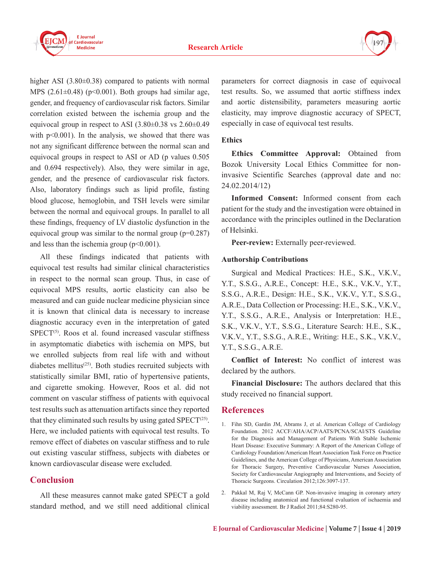



higher ASI  $(3.80\pm0.38)$  compared to patients with normal MPS  $(2.61\pm0.48)$  (p<0.001). Both groups had similar age, gender, and frequency of cardiovascular risk factors. Similar correlation existed between the ischemia group and the equivocal group in respect to ASI  $(3.80\pm0.38 \text{ vs } 2.60\pm0.49$ with  $p<0.001$ ). In the analysis, we showed that there was not any significant difference between the normal scan and equivocal groups in respect to ASI or AD (p values 0.505 and 0.694 respectively). Also, they were similar in age, gender, and the presence of cardiovascular risk factors. Also, laboratory findings such as lipid profile, fasting blood glucose, hemoglobin, and TSH levels were similar between the normal and equivocal groups. In parallel to all these findings, frequency of LV diastolic dysfunction in the equivocal group was similar to the normal group  $(p=0.287)$ and less than the ischemia group  $(p<0.001)$ .

All these findings indicated that patients with equivocal test results had similar clinical characteristics in respect to the normal scan group. Thus, in case of equivocal MPS results, aortic elasticity can also be measured and can guide nuclear medicine physician since it is known that clinical data is necessary to increase diagnostic accuracy even in the interpretation of gated  $SPECT<sup>(5)</sup>$ . Roos et al. found increased vascular stiffness in asymptomatic diabetics with ischemia on MPS, but we enrolled subjects from real life with and without diabetes mellitus<sup>(25)</sup>. Both studies recruited subjects with statistically similar BMI, ratio of hypertensive patients, and cigarette smoking. However, Roos et al. did not comment on vascular stiffness of patients with equivocal test results such as attenuation artifacts since they reported that they eliminated such results by using gated  $SPECT<sup>(25)</sup>$ . Here, we included patients with equivocal test results. To remove effect of diabetes on vascular stiffness and to rule out existing vascular stiffness, subjects with diabetes or known cardiovascular disease were excluded.

## **Conclusion**

All these measures cannot make gated SPECT a gold standard method, and we still need additional clinical parameters for correct diagnosis in case of equivocal test results. So, we assumed that aortic stiffness index and aortic distensibility, parameters measuring aortic elasticity, may improve diagnostic accuracy of SPECT, especially in case of equivocal test results.

#### **Ethics**

**Ethics Committee Approval:** Obtained from Bozok University Local Ethics Committee for noninvasive Scientific Searches (approval date and no: 24.02.2014/12)

**Informed Consent:** Informed consent from each patient for the study and the investigation were obtained in accordance with the principles outlined in the Declaration of Helsinki.

**Peer-review:** Externally peer-reviewed.

#### **Authorship Contributions**

Surgical and Medical Practices: H.E., S.K., V.K.V., Y.T., S.S.G., A.R.E., Concept: H.E., S.K., V.K.V., Y.T., S.S.G., A.R.E., Design: H.E., S.K., V.K.V., Y.T., S.S.G., A.R.E., Data Collection or Processing: H.E., S.K., V.K.V., Y.T., S.S.G., A.R.E., Analysis or Interpretation: H.E., S.K., V.K.V., Y.T., S.S.G., Literature Search: H.E., S.K., V.K.V., Y.T., S.S.G., A.R.E., Writing: H.E., S.K., V.K.V., Y.T., S.S.G., A.R.E.

**Conflict of Interest:** No conflict of interest was declared by the authors.

**Financial Disclosure:** The authors declared that this study received no financial support.

## **References**

- 1. Fihn SD, Gardin JM, Abrams J, et al. American College of Cardiology Foundation. 2012 ACCF/AHA/ACP/AATS/PCNA/SCAI/STS Guideline for the Diagnosis and Management of Patients With Stable Ischemic Heart Disease: Executive Summary: A Report of the American College of Cardiology Foundation/American Heart Association Task Force on Practice Guidelines, and the American College of Physicians, American Association for Thoracic Surgery, Preventive Cardiovascular Nurses Association, Society for Cardiovascular Angiography and Interventions, and Society of Thoracic Surgeons. Circulation 2012;126:3097-137.
- 2. Pakkal M, Raj V, McCann GP. Non-invasive imaging in coronary artery disease including anatomical and functional evaluation of ischaemia and viability assessment. Br J Radiol 2011;84:S280-95.